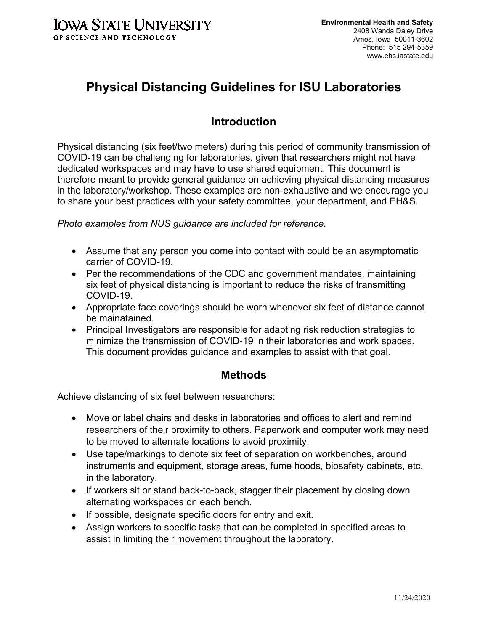

# **Physical Distancing Guidelines for ISU Laboratories**

## **Introduction**

Physical distancing (six feet/two meters) during this period of community transmission of COVID-19 can be challenging for laboratories, given that researchers might not have dedicated workspaces and may have to use shared equipment. This document is therefore meant to provide general guidance on achieving physical distancing measures in the laboratory/workshop. These examples are non-exhaustive and we encourage you to share your best practices with your safety committee, your department, and EH&S.

*Photo examples from NUS guidance are included for reference.*

- Assume that any person you come into contact with could be an asymptomatic carrier of COVID-19.
- Per the recommendations of the CDC and government mandates, maintaining six feet of physical distancing is important to reduce the risks of transmitting COVID-19.
- Appropriate face coverings should be worn whenever six feet of distance cannot be mainatained.
- Principal Investigators are responsible for adapting risk reduction strategies to minimize the transmission of COVID-19 in their laboratories and work spaces. This document provides guidance and examples to assist with that goal.

#### **Methods**

Achieve distancing of six feet between researchers:

- Move or label chairs and desks in laboratories and offices to alert and remind researchers of their proximity to others. Paperwork and computer work may need to be moved to alternate locations to avoid proximity.
- Use tape/markings to denote six feet of separation on workbenches, around instruments and equipment, storage areas, fume hoods, biosafety cabinets, etc. in the laboratory.
- If workers sit or stand back-to-back, stagger their placement by closing down alternating workspaces on each bench.
- If possible, designate specific doors for entry and exit.
- Assign workers to specific tasks that can be completed in specified areas to assist in limiting their movement throughout the laboratory.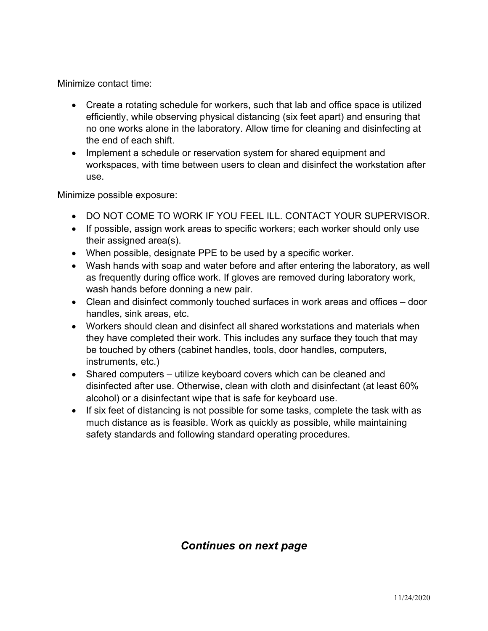Minimize contact time:

- Create a rotating schedule for workers, such that lab and office space is utilized efficiently, while observing physical distancing (six feet apart) and ensuring that no one works alone in the laboratory. Allow time for cleaning and disinfecting at the end of each shift.
- Implement a schedule or reservation system for shared equipment and workspaces, with time between users to clean and disinfect the workstation after use.

Minimize possible exposure:

- DO NOT COME TO WORK IF YOU FEEL ILL. CONTACT YOUR SUPERVISOR.
- If possible, assign work areas to specific workers; each worker should only use their assigned area(s).
- When possible, designate PPE to be used by a specific worker.
- Wash hands with soap and water before and after entering the laboratory, as well as frequently during office work. If gloves are removed during laboratory work, wash hands before donning a new pair.
- Clean and disinfect commonly touched surfaces in work areas and offices door handles, sink areas, etc.
- Workers should clean and disinfect all shared workstations and materials when they have completed their work. This includes any surface they touch that may be touched by others (cabinet handles, tools, door handles, computers, instruments, etc.)
- Shared computers utilize keyboard covers which can be cleaned and disinfected after use. Otherwise, clean with cloth and disinfectant (at least 60% alcohol) or a disinfectant wipe that is safe for keyboard use.
- If six feet of distancing is not possible for some tasks, complete the task with as much distance as is feasible. Work as quickly as possible, while maintaining safety standards and following standard operating procedures.

### *Continues on next page*